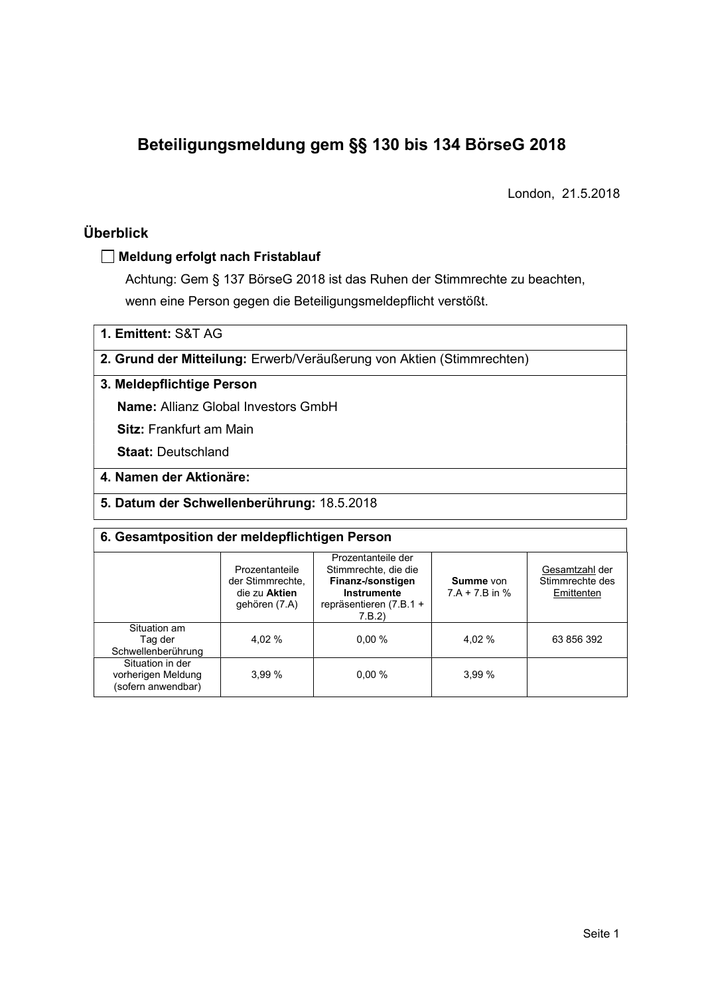# Beteiligungsmeldung gem §§ 130 bis 134 BörseG 2018

London, 21.5.2018

## Überblick

#### Meldung erfolgt nach Fristablauf

Achtung: Gem § 137 BörseG 2018 ist das Ruhen der Stimmrechte zu beachten, wenn eine Person gegen die Beteiligungsmeldepflicht verstößt.

1. Emittent: S&T AG

2. Grund der Mitteilung: Erwerb/Veräußerung von Aktien (Stimmrechten)

### 3. Meldepflichtige Person

Name: Allianz Global Investors GmbH

Sitz: Frankfurt am Main

Staat: Deutschland

## 4. Namen der Aktionäre:

#### 5. Datum der Schwellenberührung: 18.5.2018

| 6. Gesamtposition der meldepflichtigen Person                |                                                                      |                                                                                                                      |                               |                                                 |  |  |  |
|--------------------------------------------------------------|----------------------------------------------------------------------|----------------------------------------------------------------------------------------------------------------------|-------------------------------|-------------------------------------------------|--|--|--|
|                                                              | Prozentanteile<br>der Stimmrechte.<br>die zu Aktien<br>gehören (7.A) | Prozentanteile der<br>Stimmrechte, die die<br>Finanz-/sonstigen<br>Instrumente<br>repräsentieren $(7.B.1 +$<br>7.B.2 | Summe von<br>$7.A + 7.B$ in % | Gesamtzahl der<br>Stimmrechte des<br>Emittenten |  |  |  |
| Situation am<br>Taq der<br>Schwellenberührung                | 4.02 %                                                               | 0.00%                                                                                                                | 4,02 %                        | 63 856 392                                      |  |  |  |
| Situation in der<br>vorherigen Meldung<br>(sofern anwendbar) | 3,99%                                                                | 0.00%                                                                                                                | 3.99%                         |                                                 |  |  |  |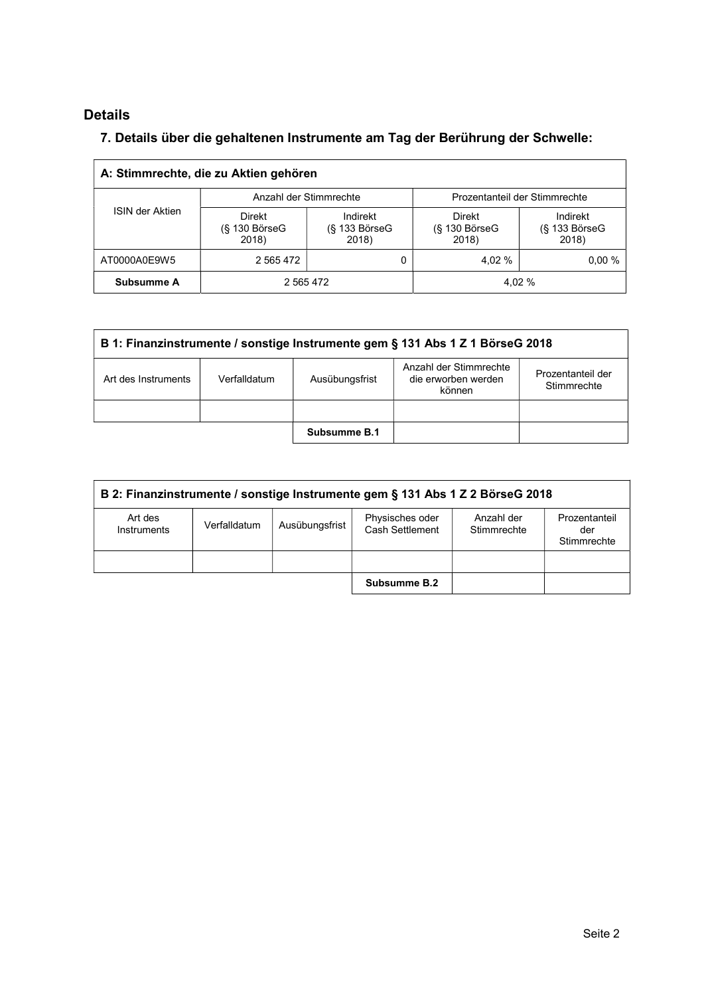# Details

 $\Gamma$ 

## 7. Details über die gehaltenen Instrumente am Tag der Berührung der Schwelle:

| A: Stimmrechte, die zu Aktien gehören |                                       |                                         |                                              |                                         |  |  |  |  |
|---------------------------------------|---------------------------------------|-----------------------------------------|----------------------------------------------|-----------------------------------------|--|--|--|--|
| <b>ISIN der Aktien</b>                | Anzahl der Stimmrechte                |                                         | Prozentanteil der Stimmrechte                |                                         |  |  |  |  |
|                                       | Direkt<br>$(S$ 130 Börse $G$<br>2018) | Indirekt<br>$(S$ 133 Börse $G$<br>2018) | <b>Direkt</b><br>$(S$ 130 Börse $G$<br>2018) | Indirekt<br>$(S$ 133 Börse $G$<br>2018) |  |  |  |  |
| AT0000A0E9W5                          | 2 565 472                             |                                         | 4.02 %                                       | 0.00%                                   |  |  |  |  |
| <b>Subsumme A</b>                     | 2 5 6 4 7 2                           |                                         |                                              | 4.02 %                                  |  |  |  |  |

| B 1: Finanzinstrumente / sonstige Instrumente gem § 131 Abs 1 Z 1 BörseG 2018 |                                                                                                                               |              |  |  |  |  |  |
|-------------------------------------------------------------------------------|-------------------------------------------------------------------------------------------------------------------------------|--------------|--|--|--|--|--|
| Art des Instruments                                                           | Anzahl der Stimmrechte<br>Prozentanteil der<br>Ausübungsfrist<br>Verfalldatum<br>die erworben werden<br>Stimmrechte<br>können |              |  |  |  |  |  |
|                                                                               |                                                                                                                               |              |  |  |  |  |  |
|                                                                               |                                                                                                                               | Subsumme B.1 |  |  |  |  |  |

| B 2: Finanzinstrumente / sonstige Instrumente gem § 131 Abs 1 Z 2 BörseG 2018 |              |                |                                    |                           |                                     |  |  |
|-------------------------------------------------------------------------------|--------------|----------------|------------------------------------|---------------------------|-------------------------------------|--|--|
| Art des<br>Instruments                                                        | Verfalldatum | Ausübungsfrist | Physisches oder<br>Cash Settlement | Anzahl der<br>Stimmrechte | Prozentanteil<br>der<br>Stimmrechte |  |  |
|                                                                               |              |                |                                    |                           |                                     |  |  |
|                                                                               |              |                | Subsumme B.2                       |                           |                                     |  |  |

 $\overline{\phantom{a}}$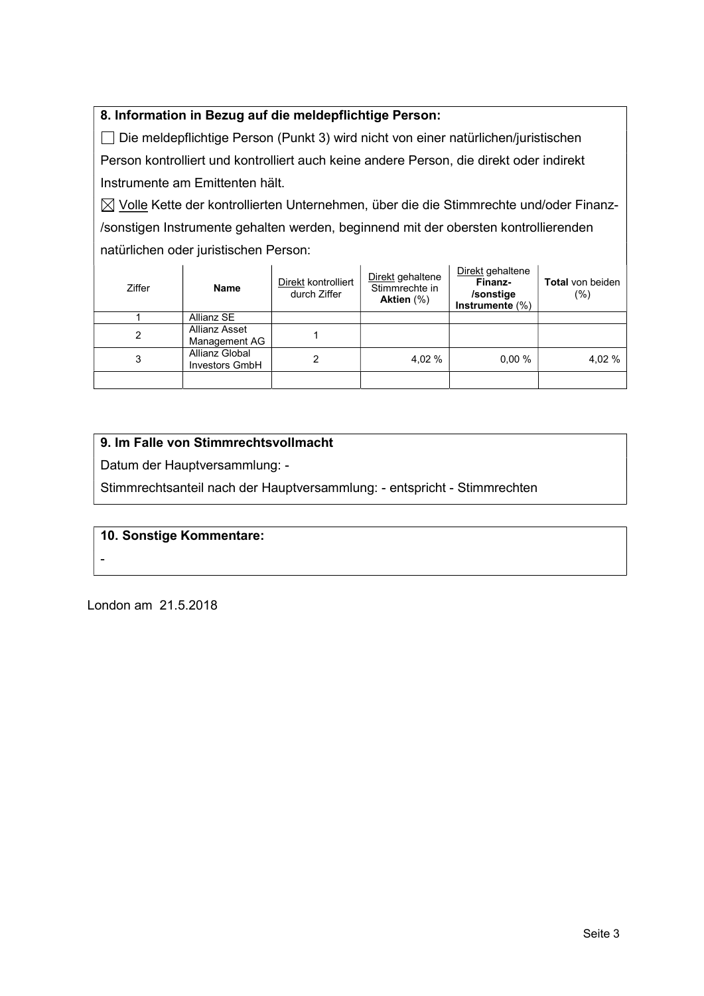## 8. Information in Bezug auf die meldepflichtige Person:

 Die meldepflichtige Person (Punkt 3) wird nicht von einer natürlichen/juristischen Person kontrolliert und kontrolliert auch keine andere Person, die direkt oder indirekt Instrumente am Emittenten hält.

 $\boxtimes$  Volle Kette der kontrollierten Unternehmen, über die die Stimmrechte und/oder Finanz-/sonstigen Instrumente gehalten werden, beginnend mit der obersten kontrollierenden natürlichen oder juristischen Person:

| Ziffer | <b>Name</b>                             | Direkt kontrolliert<br>durch Ziffer | Direkt gehaltene<br>Stimmrechte in<br>Aktien (%) | Direkt gehaltene<br>Finanz-<br>/sonstige<br>Instrumente $(\%)$ | Total von beiden<br>$(\%)$ |
|--------|-----------------------------------------|-------------------------------------|--------------------------------------------------|----------------------------------------------------------------|----------------------------|
|        | Allianz SE                              |                                     |                                                  |                                                                |                            |
| 2      | Allianz Asset<br>Management AG          |                                     |                                                  |                                                                |                            |
| 3      | Allianz Global<br><b>Investors GmbH</b> |                                     | 4.02 %                                           | 0.00%                                                          | 4,02 %                     |
|        |                                         |                                     |                                                  |                                                                |                            |

## 9. Im Falle von Stimmrechtsvollmacht

Datum der Hauptversammlung: -

Stimmrechtsanteil nach der Hauptversammlung: - entspricht - Stimmrechten

#### 10. Sonstige Kommentare:

#### -

London am 21.5.2018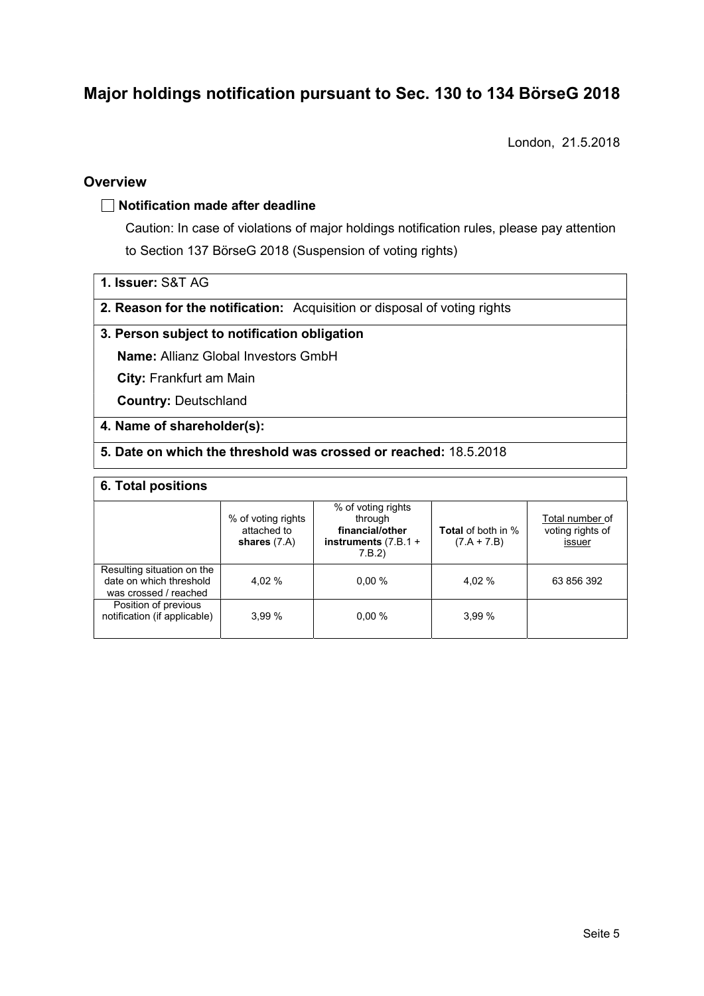# Major holdings notification pursuant to Sec. 130 to 134 BörseG 2018

London, 21.5.2018

### **Overview**

#### $\Box$  Notification made after deadline

Caution: In case of violations of major holdings notification rules, please pay attention to Section 137 BörseG 2018 (Suspension of voting rights)

- 1. Issuer: S&T AG
- 2. Reason for the notification: Acquisition or disposal of voting rights

### 3. Person subject to notification obligation

Name: Allianz Global Investors GmbH

City: Frankfurt am Main

Country: Deutschland

#### 4. Name of shareholder(s):

### 5. Date on which the threshold was crossed or reached: 18.5.2018

#### 6. Total positions

|                                                                                | % of voting rights<br>attached to<br>shares $(7.A)$ | % of voting rights<br>through<br>financial/other<br>instruments $(7.B.1 +$<br>7.B.2 | <b>Total</b> of both in %<br>$(7.A + 7.B)$ | Total number of<br>voting rights of<br>issuer |
|--------------------------------------------------------------------------------|-----------------------------------------------------|-------------------------------------------------------------------------------------|--------------------------------------------|-----------------------------------------------|
| Resulting situation on the<br>date on which threshold<br>was crossed / reached | 4.02 %                                              | 0.00%                                                                               | 4.02 %                                     | 63 856 392                                    |
| Position of previous<br>notification (if applicable)                           | 3.99%                                               | 0.00%                                                                               | 3.99%                                      |                                               |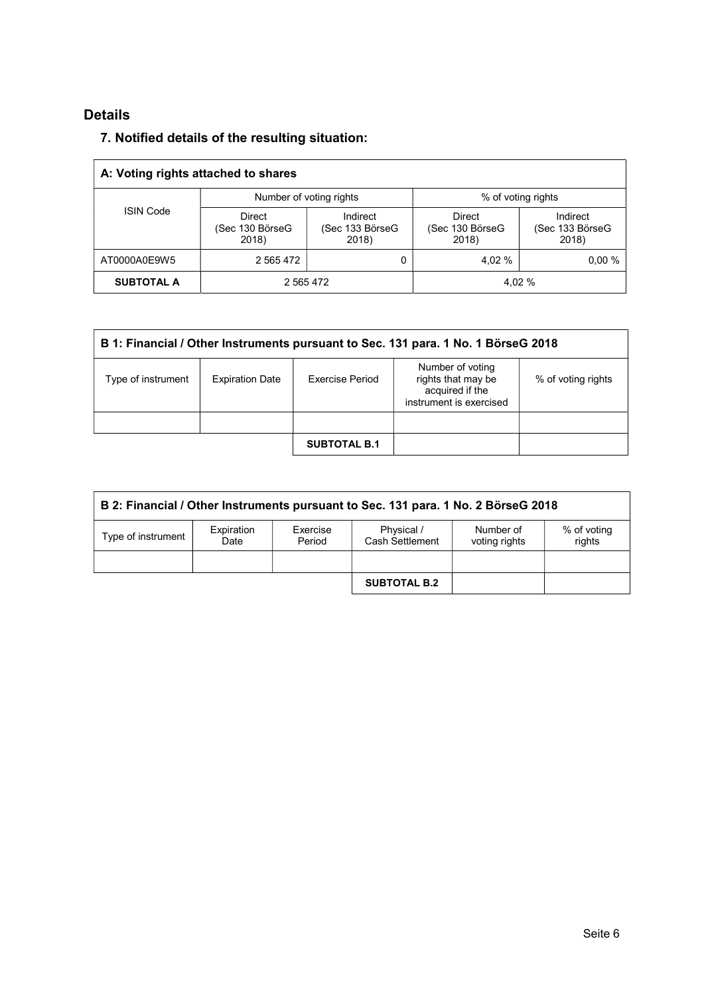# Details

## 7. Notified details of the resulting situation:

| A: Voting rights attached to shares |                                    |                                      |                                    |                                      |  |  |  |
|-------------------------------------|------------------------------------|--------------------------------------|------------------------------------|--------------------------------------|--|--|--|
|                                     |                                    | Number of voting rights              | % of voting rights                 |                                      |  |  |  |
| <b>ISIN Code</b>                    | Direct<br>(Sec 130 BörseG<br>2018) | Indirect<br>(Sec 133 BörseG<br>2018) | Direct<br>(Sec 130 BörseG<br>2018) | Indirect<br>(Sec 133 BörseG<br>2018) |  |  |  |
| AT0000A0E9W5                        | 2 5 6 5 4 7 2                      | 0                                    | 4.02 %                             | 0.00%                                |  |  |  |
| <b>SUBTOTAL A</b>                   | 2 5 6 5 4 7 2                      |                                      |                                    | 4.02 %                               |  |  |  |

| B 1: Financial / Other Instruments pursuant to Sec. 131 para. 1 No. 1 BörseG 2018 |                        |                     |                                                                                      |                    |  |  |  |
|-----------------------------------------------------------------------------------|------------------------|---------------------|--------------------------------------------------------------------------------------|--------------------|--|--|--|
| Type of instrument                                                                | <b>Expiration Date</b> | Exercise Period     | Number of voting<br>rights that may be<br>acquired if the<br>instrument is exercised | % of voting rights |  |  |  |
|                                                                                   |                        |                     |                                                                                      |                    |  |  |  |
|                                                                                   |                        | <b>SUBTOTAL B.1</b> |                                                                                      |                    |  |  |  |

| B 2: Financial / Other Instruments pursuant to Sec. 131 para. 1 No. 2 BörseG 2018 |                    |                    |                               |                            |                       |  |  |
|-----------------------------------------------------------------------------------|--------------------|--------------------|-------------------------------|----------------------------|-----------------------|--|--|
| Type of instrument                                                                | Expiration<br>Date | Exercise<br>Period | Physical /<br>Cash Settlement | Number of<br>voting rights | % of voting<br>rights |  |  |
|                                                                                   |                    |                    |                               |                            |                       |  |  |
|                                                                                   |                    |                    | <b>SUBTOTAL B.2</b>           |                            |                       |  |  |